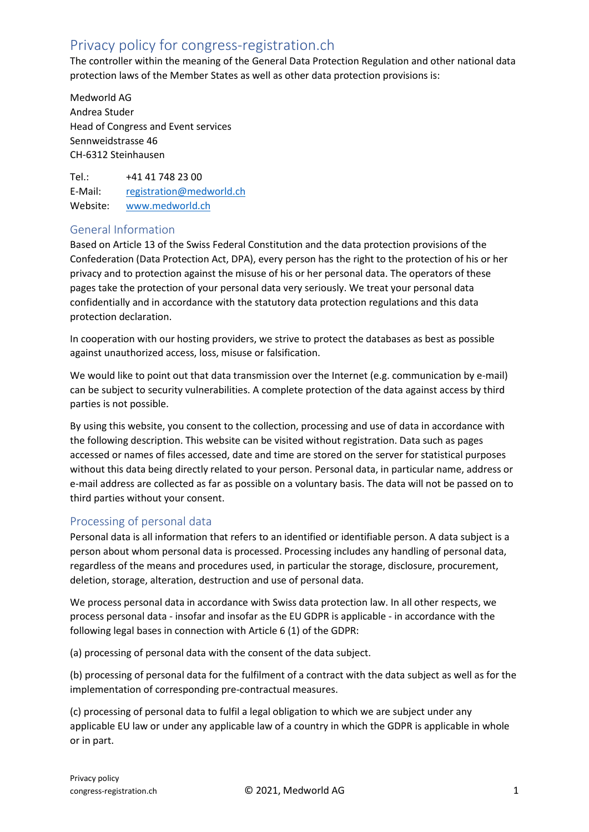# Privacy policy for congress-registration.ch

The controller within the meaning of the General Data Protection Regulation and other national data protection laws of the Member States as well as other data protection provisions is:

Medworld AG Andrea Studer Head of Congress and Event services Sennweidstrasse 46 CH-6312 Steinhausen

Tel.: +41 41 748 23 00 E-Mail: [registration@medworld.ch](mailto:registration@medworld.ch) Website: [www.medworld.ch](http://www.medworld.ch/)

# General Information

Based on Article 13 of the Swiss Federal Constitution and the data protection provisions of the Confederation (Data Protection Act, DPA), every person has the right to the protection of his or her privacy and to protection against the misuse of his or her personal data. The operators of these pages take the protection of your personal data very seriously. We treat your personal data confidentially and in accordance with the statutory data protection regulations and this data protection declaration.

In cooperation with our hosting providers, we strive to protect the databases as best as possible against unauthorized access, loss, misuse or falsification.

We would like to point out that data transmission over the Internet (e.g. communication by e-mail) can be subject to security vulnerabilities. A complete protection of the data against access by third parties is not possible.

By using this website, you consent to the collection, processing and use of data in accordance with the following description. This website can be visited without registration. Data such as pages accessed or names of files accessed, date and time are stored on the server for statistical purposes without this data being directly related to your person. Personal data, in particular name, address or e-mail address are collected as far as possible on a voluntary basis. The data will not be passed on to third parties without your consent.

# Processing of personal data

Personal data is all information that refers to an identified or identifiable person. A data subject is a person about whom personal data is processed. Processing includes any handling of personal data, regardless of the means and procedures used, in particular the storage, disclosure, procurement, deletion, storage, alteration, destruction and use of personal data.

We process personal data in accordance with Swiss data protection law. In all other respects, we process personal data - insofar and insofar as the EU GDPR is applicable - in accordance with the following legal bases in connection with Article 6 (1) of the GDPR:

(a) processing of personal data with the consent of the data subject.

(b) processing of personal data for the fulfilment of a contract with the data subject as well as for the implementation of corresponding pre-contractual measures.

(c) processing of personal data to fulfil a legal obligation to which we are subject under any applicable EU law or under any applicable law of a country in which the GDPR is applicable in whole or in part.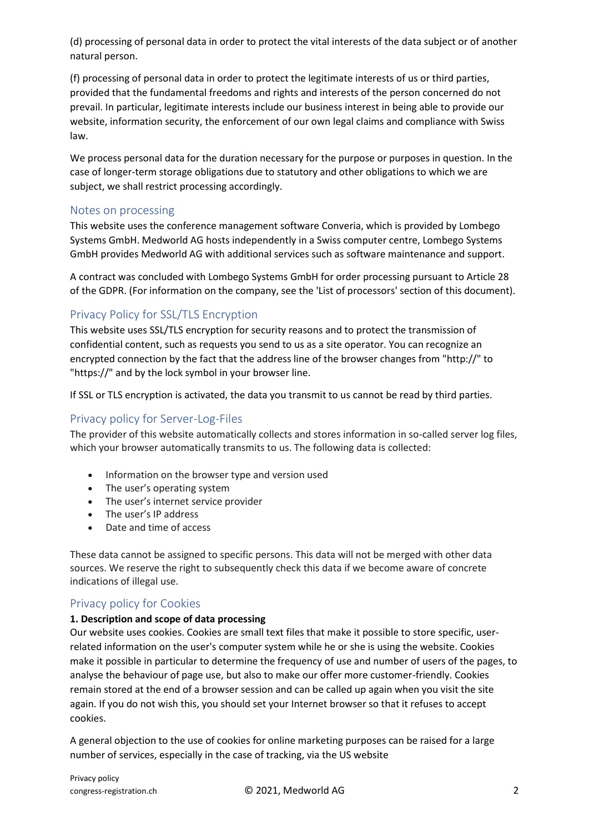(d) processing of personal data in order to protect the vital interests of the data subject or of another natural person.

(f) processing of personal data in order to protect the legitimate interests of us or third parties, provided that the fundamental freedoms and rights and interests of the person concerned do not prevail. In particular, legitimate interests include our business interest in being able to provide our website, information security, the enforcement of our own legal claims and compliance with Swiss law.

We process personal data for the duration necessary for the purpose or purposes in question. In the case of longer-term storage obligations due to statutory and other obligations to which we are subject, we shall restrict processing accordingly.

### Notes on processing

This website uses the conference management software Converia, which is provided by Lombego Systems GmbH. Medworld AG hosts independently in a Swiss computer centre, Lombego Systems GmbH provides Medworld AG with additional services such as software maintenance and support.

A contract was concluded with Lombego Systems GmbH for order processing pursuant to Article 28 of the GDPR. (For information on the company, see the 'List of processors' section of this document).

# Privacy Policy for SSL/TLS Encryption

This website uses SSL/TLS encryption for security reasons and to protect the transmission of confidential content, such as requests you send to us as a site operator. You can recognize an encrypted connection by the fact that the address line of the browser changes from "http://" to "https://" and by the lock symbol in your browser line.

If SSL or TLS encryption is activated, the data you transmit to us cannot be read by third parties.

# Privacy policy for Server-Log-Files

The provider of this website automatically collects and stores information in so-called server log files, which your browser automatically transmits to us. The following data is collected:

- Information on the browser type and version used
- The user's operating system
- The user's internet service provider
- The user's IP address
- Date and time of access

These data cannot be assigned to specific persons. This data will not be merged with other data sources. We reserve the right to subsequently check this data if we become aware of concrete indications of illegal use.

# Privacy policy for Cookies

### **1. Description and scope of data processing**

Our website uses cookies. Cookies are small text files that make it possible to store specific, userrelated information on the user's computer system while he or she is using the website. Cookies make it possible in particular to determine the frequency of use and number of users of the pages, to analyse the behaviour of page use, but also to make our offer more customer-friendly. Cookies remain stored at the end of a browser session and can be called up again when you visit the site again. If you do not wish this, you should set your Internet browser so that it refuses to accept cookies.

A general objection to the use of cookies for online marketing purposes can be raised for a large number of services, especially in the case of tracking, via the US website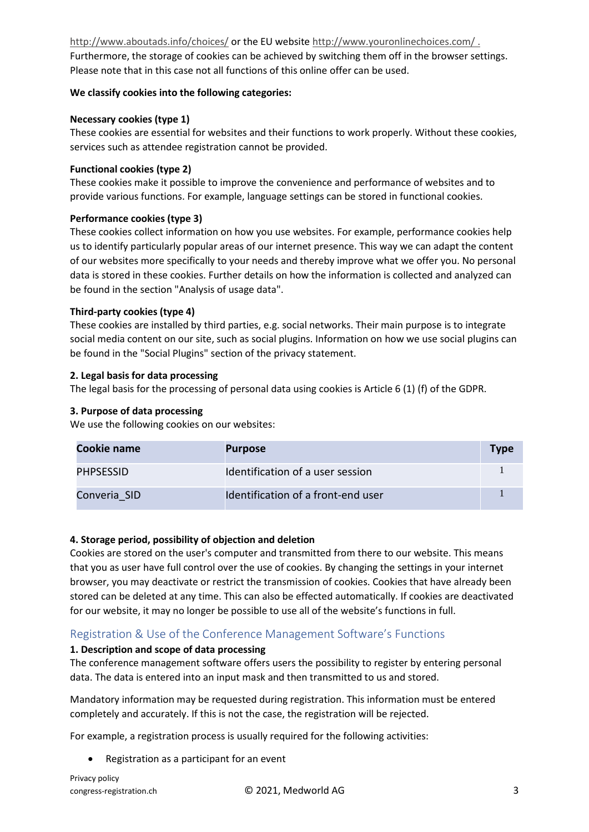<http://www.aboutads.info/choices/> or the EU websit[e http://www.youronlinechoices.com/](http://www.youronlinechoices.com/) . Furthermore, the storage of cookies can be achieved by switching them off in the browser settings. Please note that in this case not all functions of this online offer can be used.

### **We classify cookies into the following categories:**

### **Necessary cookies (type 1)**

These cookies are essential for websites and their functions to work properly. Without these cookies, services such as attendee registration cannot be provided.

#### **Functional cookies (type 2)**

These cookies make it possible to improve the convenience and performance of websites and to provide various functions. For example, language settings can be stored in functional cookies.

#### **Performance cookies (type 3)**

These cookies collect information on how you use websites. For example, performance cookies help us to identify particularly popular areas of our internet presence. This way we can adapt the content of our websites more specifically to your needs and thereby improve what we offer you. No personal data is stored in these cookies. Further details on how the information is collected and analyzed can be found in the section "Analysis of usage data".

#### **Third-party cookies (type 4)**

These cookies are installed by third parties, e.g. social networks. Their main purpose is to integrate social media content on our site, such as social plugins. Information on how we use social plugins can be found in the "Social Plugins" section of the privacy statement.

#### **2. Legal basis for data processing**

The legal basis for the processing of personal data using cookies is Article 6 (1) (f) of the GDPR.

#### **3. Purpose of data processing**

We use the following cookies on our websites:

| Cookie name  | <b>Purpose</b>                     | <b>Type</b> |
|--------------|------------------------------------|-------------|
| PHPSESSID    | Identification of a user session   |             |
| Converia SID | Identification of a front-end user |             |

#### **4. Storage period, possibility of objection and deletion**

Cookies are stored on the user's computer and transmitted from there to our website. This means that you as user have full control over the use of cookies. By changing the settings in your internet browser, you may deactivate or restrict the transmission of cookies. Cookies that have already been stored can be deleted at any time. This can also be effected automatically. If cookies are deactivated for our website, it may no longer be possible to use all of the website's functions in full.

# Registration & Use of the Conference Management Software's Functions

#### **1. Description and scope of data processing**

The conference management software offers users the possibility to register by entering personal data. The data is entered into an input mask and then transmitted to us and stored.

Mandatory information may be requested during registration. This information must be entered completely and accurately. If this is not the case, the registration will be rejected.

For example, a registration process is usually required for the following activities:

• Registration as a participant for an event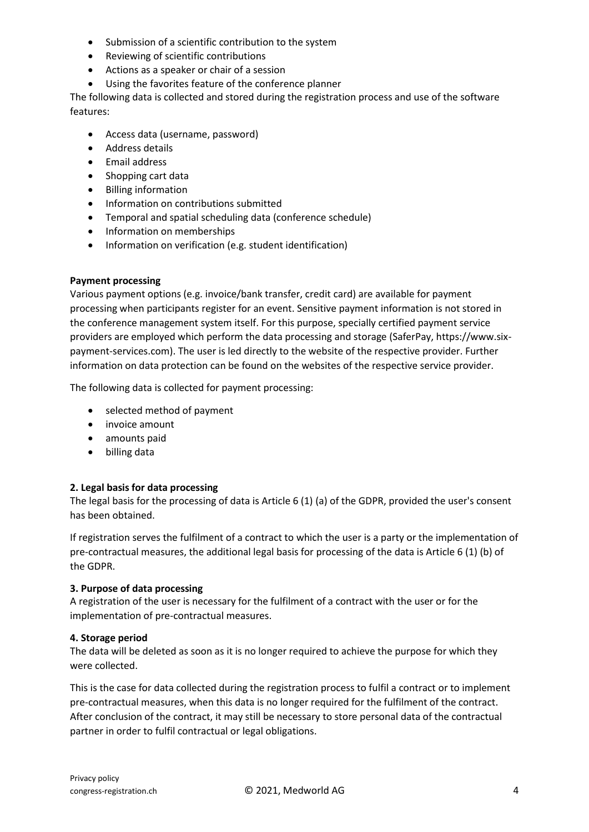- Submission of a scientific contribution to the system
- Reviewing of scientific contributions
- Actions as a speaker or chair of a session
- Using the favorites feature of the conference planner

The following data is collected and stored during the registration process and use of the software features:

- Access data (username, password)
- Address details
- Email address
- Shopping cart data
- Billing information
- Information on contributions submitted
- Temporal and spatial scheduling data (conference schedule)
- Information on memberships
- Information on verification (e.g. student identification)

#### **Payment processing**

Various payment options (e.g. invoice/bank transfer, credit card) are available for payment processing when participants register for an event. Sensitive payment information is not stored in the conference management system itself. For this purpose, specially certified payment service providers are employed which perform the data processing and storage (SaferPay, https://www.sixpayment-services.com). The user is led directly to the website of the respective provider. Further information on data protection can be found on the websites of the respective service provider.

The following data is collected for payment processing:

- selected method of payment
- invoice amount
- amounts paid
- billing data

#### **2. Legal basis for data processing**

The legal basis for the processing of data is Article 6 (1) (a) of the GDPR, provided the user's consent has been obtained.

If registration serves the fulfilment of a contract to which the user is a party or the implementation of pre-contractual measures, the additional legal basis for processing of the data is Article 6 (1) (b) of the GDPR.

#### **3. Purpose of data processing**

A registration of the user is necessary for the fulfilment of a contract with the user or for the implementation of pre-contractual measures.

#### **4. Storage period**

The data will be deleted as soon as it is no longer required to achieve the purpose for which they were collected.

This is the case for data collected during the registration process to fulfil a contract or to implement pre-contractual measures, when this data is no longer required for the fulfilment of the contract. After conclusion of the contract, it may still be necessary to store personal data of the contractual partner in order to fulfil contractual or legal obligations.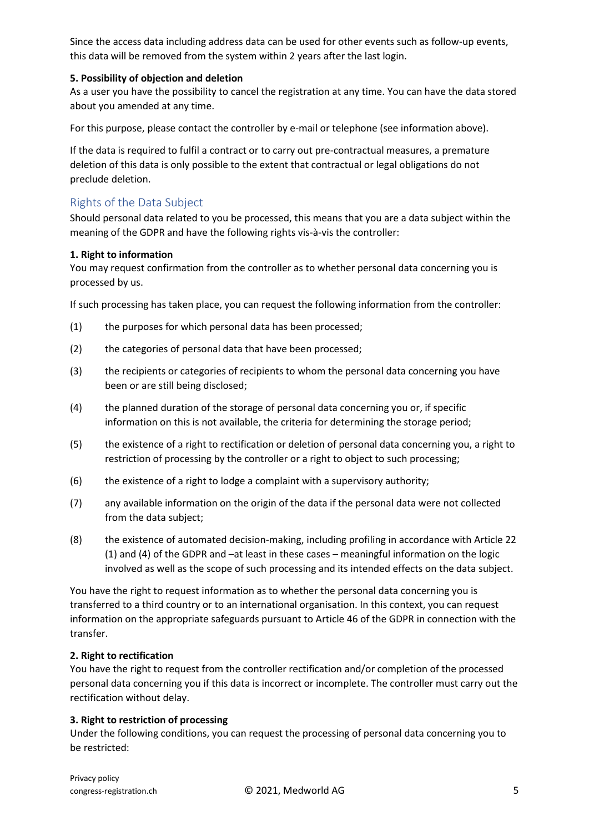Since the access data including address data can be used for other events such as follow-up events, this data will be removed from the system within 2 years after the last login.

### **5. Possibility of objection and deletion**

As a user you have the possibility to cancel the registration at any time. You can have the data stored about you amended at any time.

For this purpose, please contact the controller by e-mail or telephone (see information above).

If the data is required to fulfil a contract or to carry out pre-contractual measures, a premature deletion of this data is only possible to the extent that contractual or legal obligations do not preclude deletion.

# Rights of the Data Subject

Should personal data related to you be processed, this means that you are a data subject within the meaning of the GDPR and have the following rights vis-à-vis the controller:

### **1. Right to information**

You may request confirmation from the controller as to whether personal data concerning you is processed by us.

If such processing has taken place, you can request the following information from the controller:

- (1) the purposes for which personal data has been processed;
- (2) the categories of personal data that have been processed;
- (3) the recipients or categories of recipients to whom the personal data concerning you have been or are still being disclosed;
- (4) the planned duration of the storage of personal data concerning you or, if specific information on this is not available, the criteria for determining the storage period;
- (5) the existence of a right to rectification or deletion of personal data concerning you, a right to restriction of processing by the controller or a right to object to such processing;
- (6) the existence of a right to lodge a complaint with a supervisory authority;
- (7) any available information on the origin of the data if the personal data were not collected from the data subject;
- (8) the existence of automated decision-making, including profiling in accordance with Article 22 (1) and (4) of the GDPR and –at least in these cases – meaningful information on the logic involved as well as the scope of such processing and its intended effects on the data subject.

You have the right to request information as to whether the personal data concerning you is transferred to a third country or to an international organisation. In this context, you can request information on the appropriate safeguards pursuant to Article 46 of the GDPR in connection with the transfer.

### **2. Right to rectification**

You have the right to request from the controller rectification and/or completion of the processed personal data concerning you if this data is incorrect or incomplete. The controller must carry out the rectification without delay.

### **3. Right to restriction of processing**

Under the following conditions, you can request the processing of personal data concerning you to be restricted: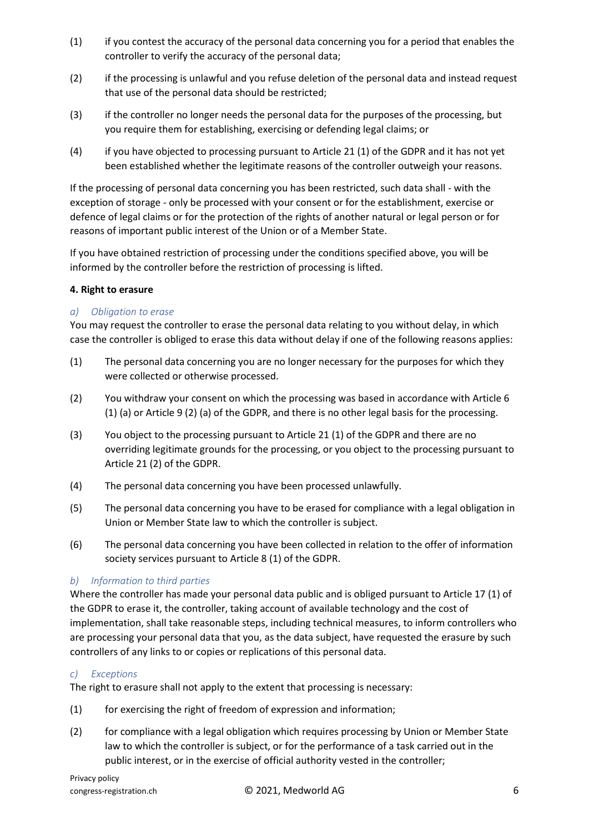- (1) if you contest the accuracy of the personal data concerning you for a period that enables the controller to verify the accuracy of the personal data;
- (2) if the processing is unlawful and you refuse deletion of the personal data and instead request that use of the personal data should be restricted;
- (3) if the controller no longer needs the personal data for the purposes of the processing, but you require them for establishing, exercising or defending legal claims; or
- (4) if you have objected to processing pursuant to Article 21 (1) of the GDPR and it has not yet been established whether the legitimate reasons of the controller outweigh your reasons.

If the processing of personal data concerning you has been restricted, such data shall - with the exception of storage - only be processed with your consent or for the establishment, exercise or defence of legal claims or for the protection of the rights of another natural or legal person or for reasons of important public interest of the Union or of a Member State.

If you have obtained restriction of processing under the conditions specified above, you will be informed by the controller before the restriction of processing is lifted.

### **4. Right to erasure**

### *a) Obligation to erase*

You may request the controller to erase the personal data relating to you without delay, in which case the controller is obliged to erase this data without delay if one of the following reasons applies:

- (1) The personal data concerning you are no longer necessary for the purposes for which they were collected or otherwise processed.
- (2) You withdraw your consent on which the processing was based in accordance with Article 6 (1) (a) or Article 9 (2) (a) of the GDPR, and there is no other legal basis for the processing.
- (3) You object to the processing pursuant to Article 21 (1) of the GDPR and there are no overriding legitimate grounds for the processing, or you object to the processing pursuant to Article 21 (2) of the GDPR.
- (4) The personal data concerning you have been processed unlawfully.
- (5) The personal data concerning you have to be erased for compliance with a legal obligation in Union or Member State law to which the controller is subject.
- (6) The personal data concerning you have been collected in relation to the offer of information society services pursuant to Article 8 (1) of the GDPR.

### *b) Information to third parties*

Where the controller has made your personal data public and is obliged pursuant to Article 17 (1) of the GDPR to erase it, the controller, taking account of available technology and the cost of implementation, shall take reasonable steps, including technical measures, to inform controllers who are processing your personal data that you, as the data subject, have requested the erasure by such controllers of any links to or copies or replications of this personal data.

### *c) Exceptions*

The right to erasure shall not apply to the extent that processing is necessary:

- (1) for exercising the right of freedom of expression and information;
- (2) for compliance with a legal obligation which requires processing by Union or Member State law to which the controller is subject, or for the performance of a task carried out in the public interest, or in the exercise of official authority vested in the controller;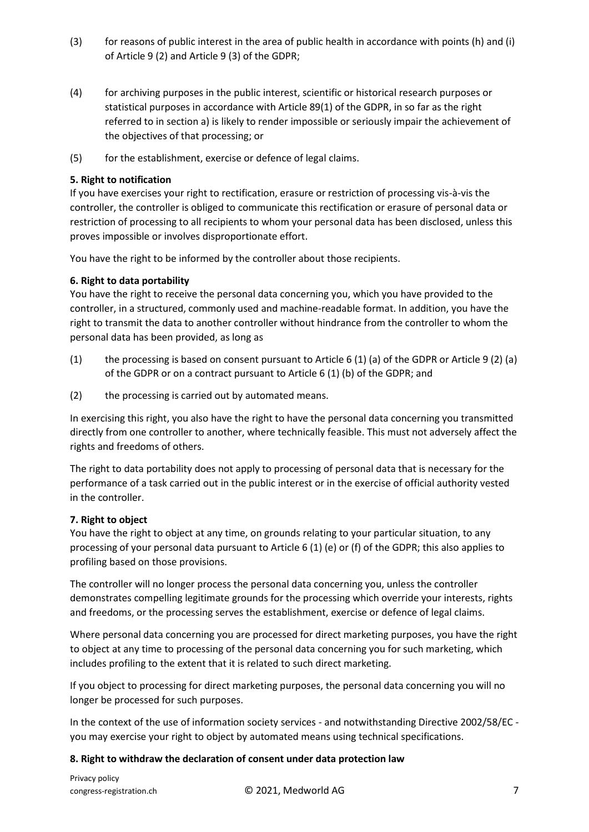- (3) for reasons of public interest in the area of public health in accordance with points (h) and (i) of Article 9 (2) and Article 9 (3) of the GDPR;
- (4) for archiving purposes in the public interest, scientific or historical research purposes or statistical purposes in accordance with Article 89(1) of the GDPR, in so far as the right referred to in section a) is likely to render impossible or seriously impair the achievement of the objectives of that processing; or
- (5) for the establishment, exercise or defence of legal claims.

### **5. Right to notification**

If you have exercises your right to rectification, erasure or restriction of processing vis-à-vis the controller, the controller is obliged to communicate this rectification or erasure of personal data or restriction of processing to all recipients to whom your personal data has been disclosed, unless this proves impossible or involves disproportionate effort.

You have the right to be informed by the controller about those recipients.

# **6. Right to data portability**

You have the right to receive the personal data concerning you, which you have provided to the controller, in a structured, commonly used and machine-readable format. In addition, you have the right to transmit the data to another controller without hindrance from the controller to whom the personal data has been provided, as long as

- (1) the processing is based on consent pursuant to Article 6 (1) (a) of the GDPR or Article 9 (2) (a) of the GDPR or on a contract pursuant to Article 6 (1) (b) of the GDPR; and
- (2) the processing is carried out by automated means.

In exercising this right, you also have the right to have the personal data concerning you transmitted directly from one controller to another, where technically feasible. This must not adversely affect the rights and freedoms of others.

The right to data portability does not apply to processing of personal data that is necessary for the performance of a task carried out in the public interest or in the exercise of official authority vested in the controller.

### **7. Right to object**

You have the right to object at any time, on grounds relating to your particular situation, to any processing of your personal data pursuant to Article 6 (1) (e) or (f) of the GDPR; this also applies to profiling based on those provisions.

The controller will no longer process the personal data concerning you, unless the controller demonstrates compelling legitimate grounds for the processing which override your interests, rights and freedoms, or the processing serves the establishment, exercise or defence of legal claims.

Where personal data concerning you are processed for direct marketing purposes, you have the right to object at any time to processing of the personal data concerning you for such marketing, which includes profiling to the extent that it is related to such direct marketing.

If you object to processing for direct marketing purposes, the personal data concerning you will no longer be processed for such purposes.

In the context of the use of information society services - and notwithstanding Directive 2002/58/EC you may exercise your right to object by automated means using technical specifications.

### **8. Right to withdraw the declaration of consent under data protection law**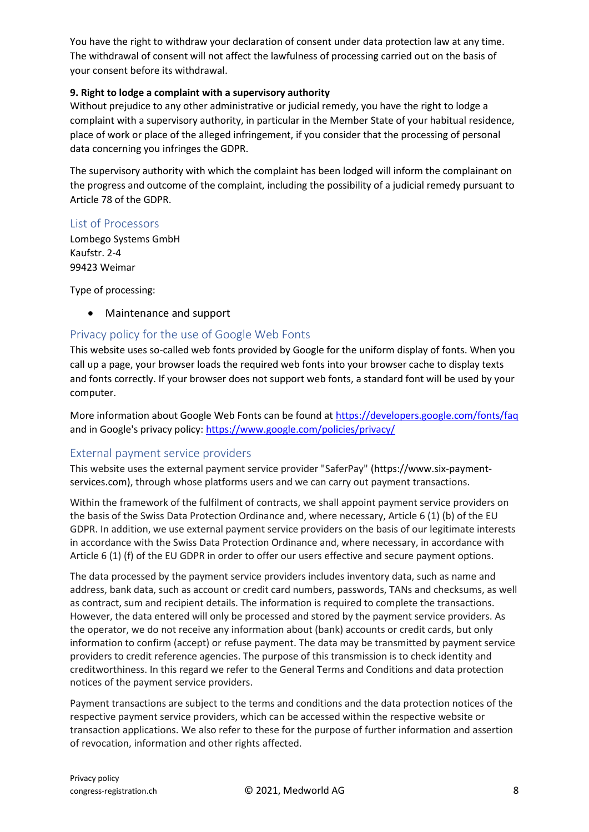You have the right to withdraw your declaration of consent under data protection law at any time. The withdrawal of consent will not affect the lawfulness of processing carried out on the basis of your consent before its withdrawal.

### **9. Right to lodge a complaint with a supervisory authority**

Without prejudice to any other administrative or judicial remedy, you have the right to lodge a complaint with a supervisory authority, in particular in the Member State of your habitual residence, place of work or place of the alleged infringement, if you consider that the processing of personal data concerning you infringes the GDPR.

The supervisory authority with which the complaint has been lodged will inform the complainant on the progress and outcome of the complaint, including the possibility of a judicial remedy pursuant to Article 78 of the GDPR.

### List of Processors

Lombego Systems GmbH Kaufstr. 2-4 99423 Weimar

Type of processing:

• Maintenance and support

# Privacy policy for the use of Google Web Fonts

This website uses so-called web fonts provided by Google for the uniform display of fonts. When you call up a page, your browser loads the required web fonts into your browser cache to display texts and fonts correctly. If your browser does not support web fonts, a standard font will be used by your computer.

More information about Google Web Fonts can be found at<https://developers.google.com/fonts/faq> and in Google's privacy policy: <https://www.google.com/policies/privacy/>

### External payment service providers

This website uses the external payment service provider "SaferPay" (https://www.six-paymentservices.com), through whose platforms users and we can carry out payment transactions.

Within the framework of the fulfilment of contracts, we shall appoint payment service providers on the basis of the Swiss Data Protection Ordinance and, where necessary, Article 6 (1) (b) of the EU GDPR. In addition, we use external payment service providers on the basis of our legitimate interests in accordance with the Swiss Data Protection Ordinance and, where necessary, in accordance with Article 6 (1) (f) of the EU GDPR in order to offer our users effective and secure payment options.

The data processed by the payment service providers includes inventory data, such as name and address, bank data, such as account or credit card numbers, passwords, TANs and checksums, as well as contract, sum and recipient details. The information is required to complete the transactions. However, the data entered will only be processed and stored by the payment service providers. As the operator, we do not receive any information about (bank) accounts or credit cards, but only information to confirm (accept) or refuse payment. The data may be transmitted by payment service providers to credit reference agencies. The purpose of this transmission is to check identity and creditworthiness. In this regard we refer to the General Terms and Conditions and data protection notices of the payment service providers.

Payment transactions are subject to the terms and conditions and the data protection notices of the respective payment service providers, which can be accessed within the respective website or transaction applications. We also refer to these for the purpose of further information and assertion of revocation, information and other rights affected.